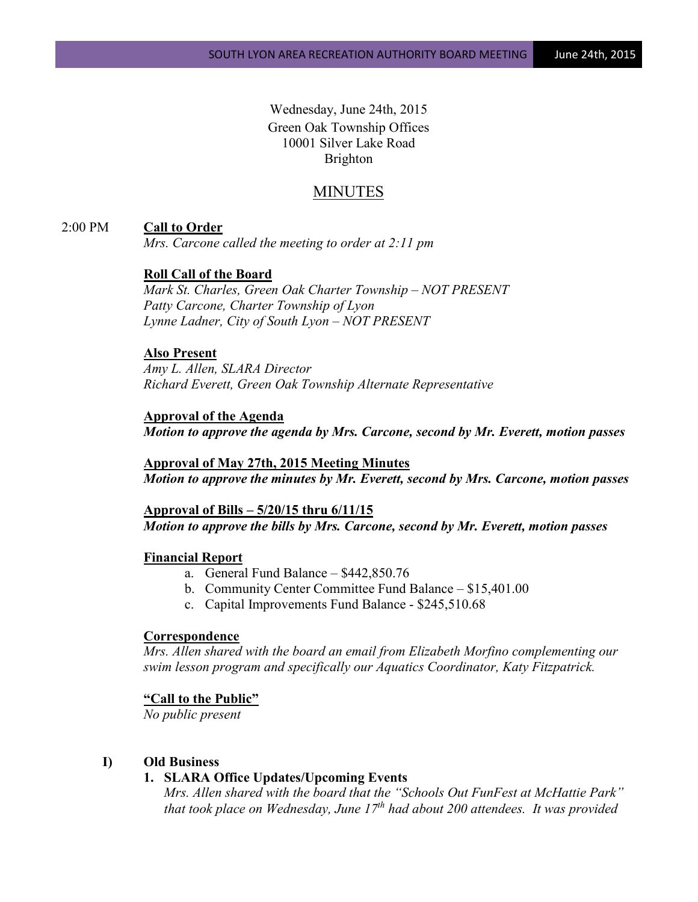Wednesday, June 24th, 2015 Green Oak Township Offices 10001 Silver Lake Road Brighton

# MINUTES

### 2:00 PM **Call to Order**

*Mrs. Carcone called the meeting to order at 2:11 pm*

### **Roll Call of the Board**

*Mark St. Charles, Green Oak Charter Township – NOT PRESENT Patty Carcone, Charter Township of Lyon Lynne Ladner, City of South Lyon – NOT PRESENT*

#### **Also Present**

*Amy L. Allen, SLARA Director Richard Everett, Green Oak Township Alternate Representative*

**Approval of the Agenda** *Motion to approve the agenda by Mrs. Carcone, second by Mr. Everett, motion passes*

**Approval of May 27th, 2015 Meeting Minutes** *Motion to approve the minutes by Mr. Everett, second by Mrs. Carcone, motion passes*

## **Approval of Bills – 5/20/15 thru 6/11/15** *Motion to approve the bills by Mrs. Carcone, second by Mr. Everett, motion passes*

#### **Financial Report**

- a. General Fund Balance \$442,850.76
- b. Community Center Committee Fund Balance \$15,401.00
- c. Capital Improvements Fund Balance \$245,510.68

#### **Correspondence**

*Mrs. Allen shared with the board an email from Elizabeth Morfino complementing our swim lesson program and specifically our Aquatics Coordinator, Katy Fitzpatrick.*

#### **"Call to the Public"**

*No public present*

#### **I) Old Business**

## **1. SLARA Office Updates/Upcoming Events**

*Mrs. Allen shared with the board that the "Schools Out FunFest at McHattie Park" that took place on Wednesday, June 17th had about 200 attendees. It was provided*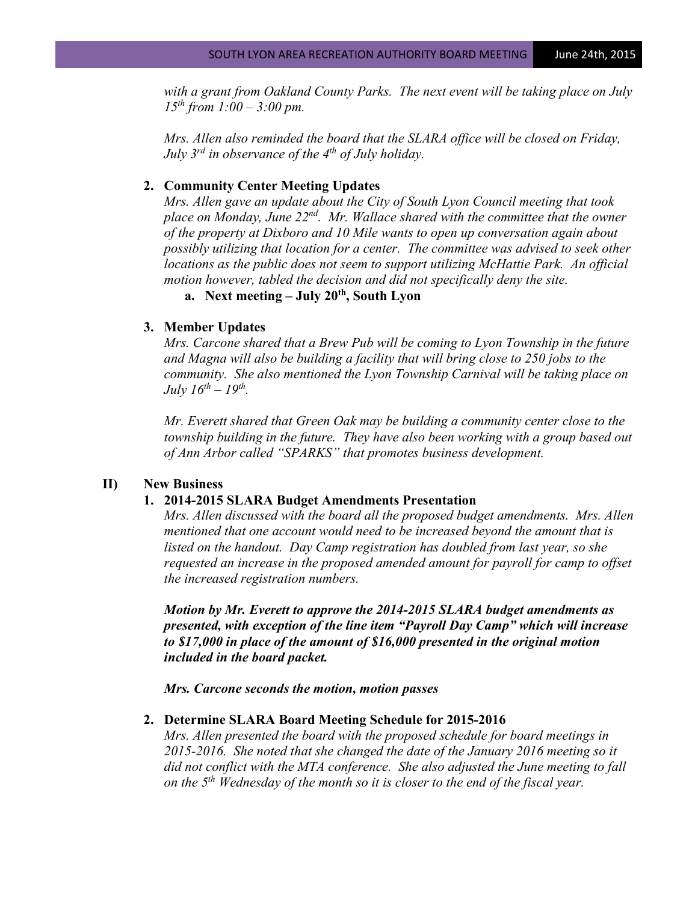*with a grant from Oakland County Parks. The next event will be taking place on July 15th from 1:00 – 3:00 pm.*

*Mrs. Allen also reminded the board that the SLARA office will be closed on Friday, July 3rd in observance of the 4th of July holiday.*

#### **2. Community Center Meeting Updates**

*Mrs. Allen gave an update about the City of South Lyon Council meeting that took place on Monday, June 22nd. Mr. Wallace shared with the committee that the owner of the property at Dixboro and 10 Mile wants to open up conversation again about possibly utilizing that location for a center. The committee was advised to seek other locations as the public does not seem to support utilizing McHattie Park. An official motion however, tabled the decision and did not specifically deny the site.*

**a. Next meeting – July 20th, South Lyon**

### **3. Member Updates**

*Mrs. Carcone shared that a Brew Pub will be coming to Lyon Township in the future and Magna will also be building a facility that will bring close to 250 jobs to the community. She also mentioned the Lyon Township Carnival will be taking place on July*  $16^{th} - 19^{th}$ .

*Mr. Everett shared that Green Oak may be building a community center close to the township building in the future. They have also been working with a group based out of Ann Arbor called "SPARKS" that promotes business development.*

## **II) New Business**

### **1. 2014-2015 SLARA Budget Amendments Presentation**

*Mrs. Allen discussed with the board all the proposed budget amendments. Mrs. Allen mentioned that one account would need to be increased beyond the amount that is listed on the handout. Day Camp registration has doubled from last year, so she requested an increase in the proposed amended amount for payroll for camp to offset the increased registration numbers.*

*Motion by Mr. Everett to approve the 2014-2015 SLARA budget amendments as presented, with exception of the line item "Payroll Day Camp" which will increase to \$17,000 in place of the amount of \$16,000 presented in the original motion included in the board packet.*

*Mrs. Carcone seconds the motion, motion passes*

#### **2. Determine SLARA Board Meeting Schedule for 2015-2016**

*Mrs. Allen presented the board with the proposed schedule for board meetings in 2015-2016. She noted that she changed the date of the January 2016 meeting so it did not conflict with the MTA conference. She also adjusted the June meeting to fall on the 5th Wednesday of the month so it is closer to the end of the fiscal year.*